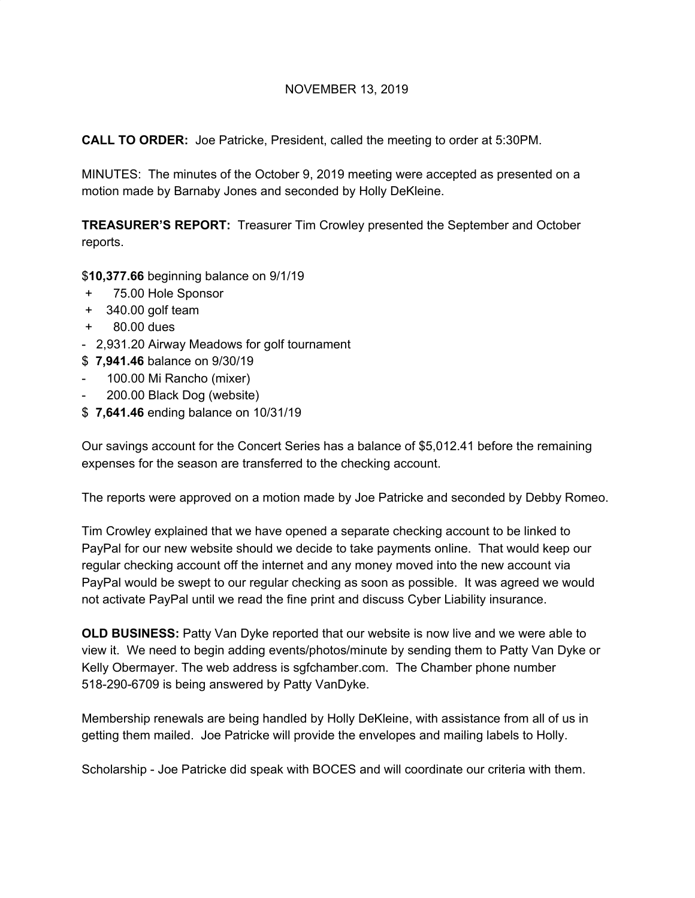## NOVEMBER 13, 2019

**CALL TO ORDER:** Joe Patricke, President, called the meeting to order at 5:30PM.

MINUTES: The minutes of the October 9, 2019 meeting were accepted as presented on a motion made by Barnaby Jones and seconded by Holly DeKleine.

**TREASURER'S REPORT:** Treasurer Tim Crowley presented the September and October reports.

## \$**10,377.66** beginning balance on 9/1/19

- + 75.00 Hole Sponsor
- + 340.00 golf team
- + 80.00 dues
- 2,931.20 Airway Meadows for golf tournament
- \$ **7,941.46** balance on 9/30/19
- 100.00 Mi Rancho (mixer)
- 200.00 Black Dog (website)
- \$ **7,641.46** ending balance on 10/31/19

Our savings account for the Concert Series has a balance of \$5,012.41 before the remaining expenses for the season are transferred to the checking account.

The reports were approved on a motion made by Joe Patricke and seconded by Debby Romeo.

Tim Crowley explained that we have opened a separate checking account to be linked to PayPal for our new website should we decide to take payments online. That would keep our regular checking account off the internet and any money moved into the new account via PayPal would be swept to our regular checking as soon as possible. It was agreed we would not activate PayPal until we read the fine print and discuss Cyber Liability insurance.

**OLD BUSINESS:** Patty Van Dyke reported that our website is now live and we were able to view it. We need to begin adding events/photos/minute by sending them to Patty Van Dyke or Kelly Obermayer. The web address is sgfchamber.com. The Chamber phone number 518-290-6709 is being answered by Patty VanDyke.

Membership renewals are being handled by Holly DeKleine, with assistance from all of us in getting them mailed. Joe Patricke will provide the envelopes and mailing labels to Holly.

Scholarship - Joe Patricke did speak with BOCES and will coordinate our criteria with them.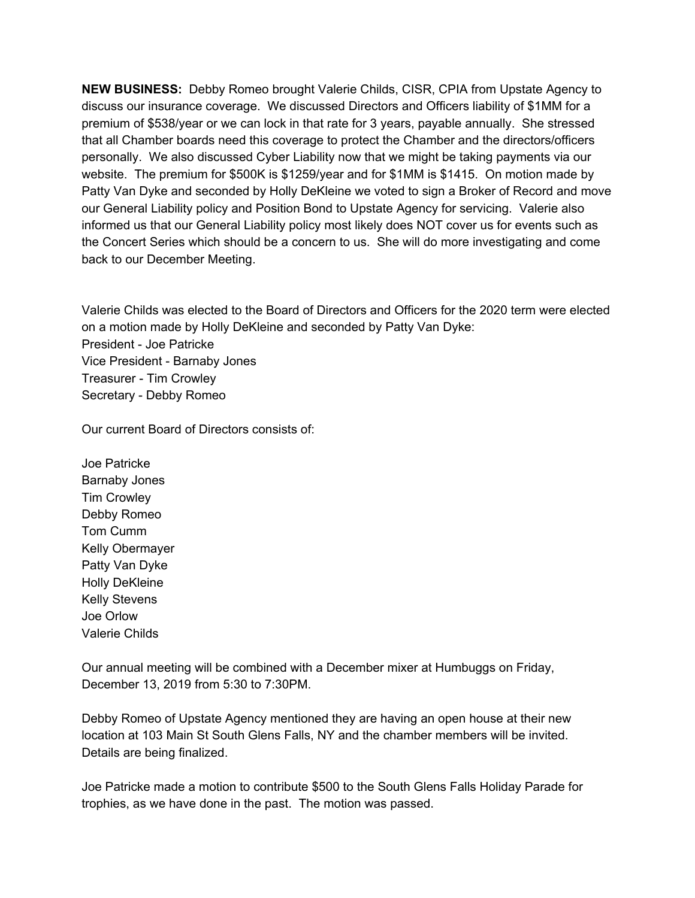**NEW BUSINESS:** Debby Romeo brought Valerie Childs, CISR, CPIA from Upstate Agency to discuss our insurance coverage. We discussed Directors and Officers liability of \$1MM for a premium of \$538/year or we can lock in that rate for 3 years, payable annually. She stressed that all Chamber boards need this coverage to protect the Chamber and the directors/officers personally. We also discussed Cyber Liability now that we might be taking payments via our website. The premium for \$500K is \$1259/year and for \$1MM is \$1415. On motion made by Patty Van Dyke and seconded by Holly DeKleine we voted to sign a Broker of Record and move our General Liability policy and Position Bond to Upstate Agency for servicing. Valerie also informed us that our General Liability policy most likely does NOT cover us for events such as the Concert Series which should be a concern to us. She will do more investigating and come back to our December Meeting.

Valerie Childs was elected to the Board of Directors and Officers for the 2020 term were elected on a motion made by Holly DeKleine and seconded by Patty Van Dyke: President - Joe Patricke Vice President - Barnaby Jones Treasurer - Tim Crowley Secretary - Debby Romeo

Our current Board of Directors consists of:

Joe Patricke Barnaby Jones Tim Crowley Debby Romeo Tom Cumm Kelly Obermayer Patty Van Dyke Holly DeKleine Kelly Stevens Joe Orlow Valerie Childs

Our annual meeting will be combined with a December mixer at Humbuggs on Friday, December 13, 2019 from 5:30 to 7:30PM.

Debby Romeo of Upstate Agency mentioned they are having an open house at their new location at 103 Main St South Glens Falls, NY and the chamber members will be invited. Details are being finalized.

Joe Patricke made a motion to contribute \$500 to the South Glens Falls Holiday Parade for trophies, as we have done in the past. The motion was passed.